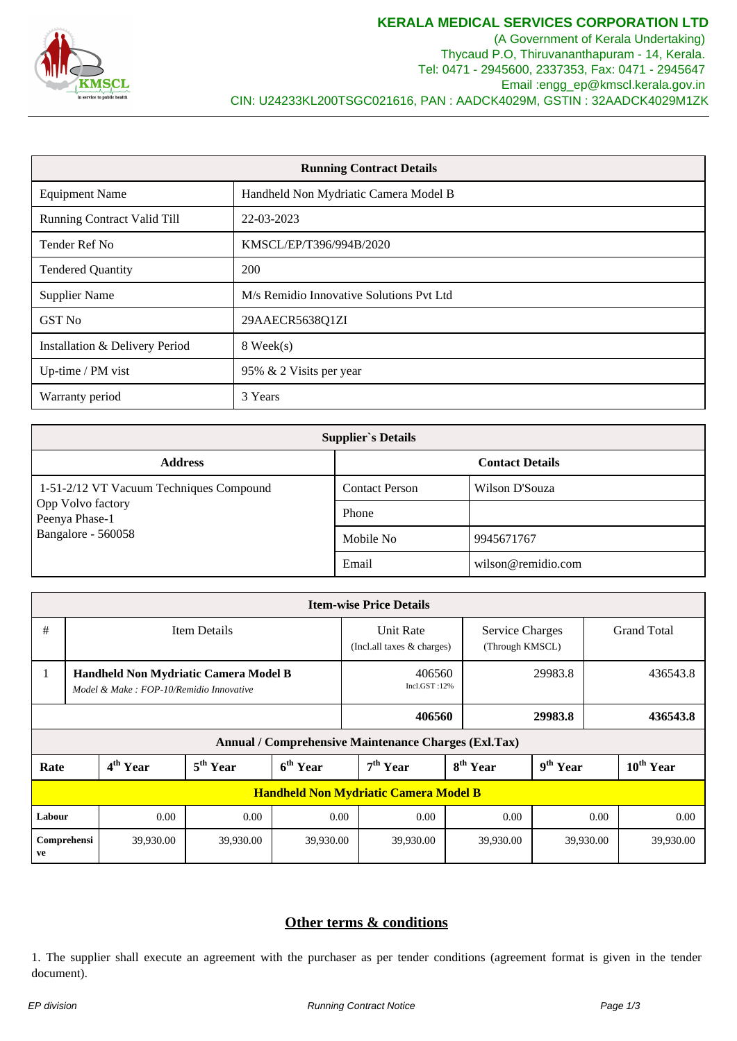

(A Government of Kerala Undertaking) Thycaud P.O, Thiruvananthapuram - 14, Kerala. Tel: 0471 - 2945600, 2337353, Fax: 0471 - 2945647 Email :engg\_ep@kmscl.kerala.gov.in CIN: U24233KL200TSGC021616, PAN : AADCK4029M, GSTIN : 32AADCK4029M1ZK

| <b>Running Contract Details</b>    |                                          |  |  |  |  |  |  |
|------------------------------------|------------------------------------------|--|--|--|--|--|--|
| <b>Equipment Name</b>              | Handheld Non Mydriatic Camera Model B    |  |  |  |  |  |  |
| <b>Running Contract Valid Till</b> | 22-03-2023                               |  |  |  |  |  |  |
| Tender Ref No                      | KMSCL/EP/T396/994B/2020                  |  |  |  |  |  |  |
| <b>Tendered Quantity</b>           | <b>200</b>                               |  |  |  |  |  |  |
| <b>Supplier Name</b>               | M/s Remidio Innovative Solutions Pvt Ltd |  |  |  |  |  |  |
| GST No                             | 29AAECR5638Q1ZI                          |  |  |  |  |  |  |
| Installation & Delivery Period     | 8 Week(s)                                |  |  |  |  |  |  |
| Up-time / PM vist                  | 95% & 2 Visits per year                  |  |  |  |  |  |  |
| Warranty period                    | 3 Years                                  |  |  |  |  |  |  |

| <b>Supplier's Details</b>               |                        |                    |  |  |  |  |  |  |  |
|-----------------------------------------|------------------------|--------------------|--|--|--|--|--|--|--|
| <b>Address</b>                          | <b>Contact Details</b> |                    |  |  |  |  |  |  |  |
| 1-51-2/12 VT Vacuum Techniques Compound | <b>Contact Person</b>  | Wilson D'Souza     |  |  |  |  |  |  |  |
| Opp Volvo factory<br>Peenya Phase-1     | Phone                  |                    |  |  |  |  |  |  |  |
| Bangalore - 560058                      | Mobile No              | 9945671767         |  |  |  |  |  |  |  |
|                                         | Email                  | wilson@remidio.com |  |  |  |  |  |  |  |

| <b>Item-wise Price Details</b>                       |                                                                                  |                      |                      |                      |                                                                                      |                      |                      |  |                    |  |  |  |
|------------------------------------------------------|----------------------------------------------------------------------------------|----------------------|----------------------|----------------------|--------------------------------------------------------------------------------------|----------------------|----------------------|--|--------------------|--|--|--|
| #                                                    | Item Details                                                                     |                      |                      |                      | Unit Rate<br><b>Service Charges</b><br>(Through KMSCL)<br>(Incl.all taxes & charges) |                      |                      |  | <b>Grand Total</b> |  |  |  |
| 1                                                    | Handheld Non Mydriatic Camera Model B<br>Model & Make: FOP-10/Remidio Innovative |                      |                      |                      | 406560<br>Incl.GST:12%                                                               |                      | 29983.8              |  | 436543.8           |  |  |  |
|                                                      |                                                                                  |                      |                      |                      | 406560                                                                               |                      | 29983.8              |  | 436543.8           |  |  |  |
| Annual / Comprehensive Maintenance Charges (Exl.Tax) |                                                                                  |                      |                      |                      |                                                                                      |                      |                      |  |                    |  |  |  |
| Rate                                                 |                                                                                  | 4 <sup>th</sup> Year | 5 <sup>th</sup> Year | 6 <sup>th</sup> Year | 7 <sup>th</sup> Year                                                                 | 8 <sup>th</sup> Year | 9 <sup>th</sup> Year |  | $10^{th}$ Year     |  |  |  |
| <b>Handheld Non Mydriatic Camera Model B</b>         |                                                                                  |                      |                      |                      |                                                                                      |                      |                      |  |                    |  |  |  |
| Labour<br>0.00<br>0.00                               |                                                                                  | 0.00                 | 0.00                 | 0.00                 | 0.00                                                                                 |                      | 0.00                 |  |                    |  |  |  |
| Comprehensi<br>ve                                    |                                                                                  | 39,930.00            | 39,930.00            | 39,930.00            | 39,930.00                                                                            | 39,930.00            | 39,930.00            |  | 39,930.00          |  |  |  |

## **Other terms & conditions**

1. The supplier shall execute an agreement with the purchaser as per tender conditions (agreement format is given in the tender document).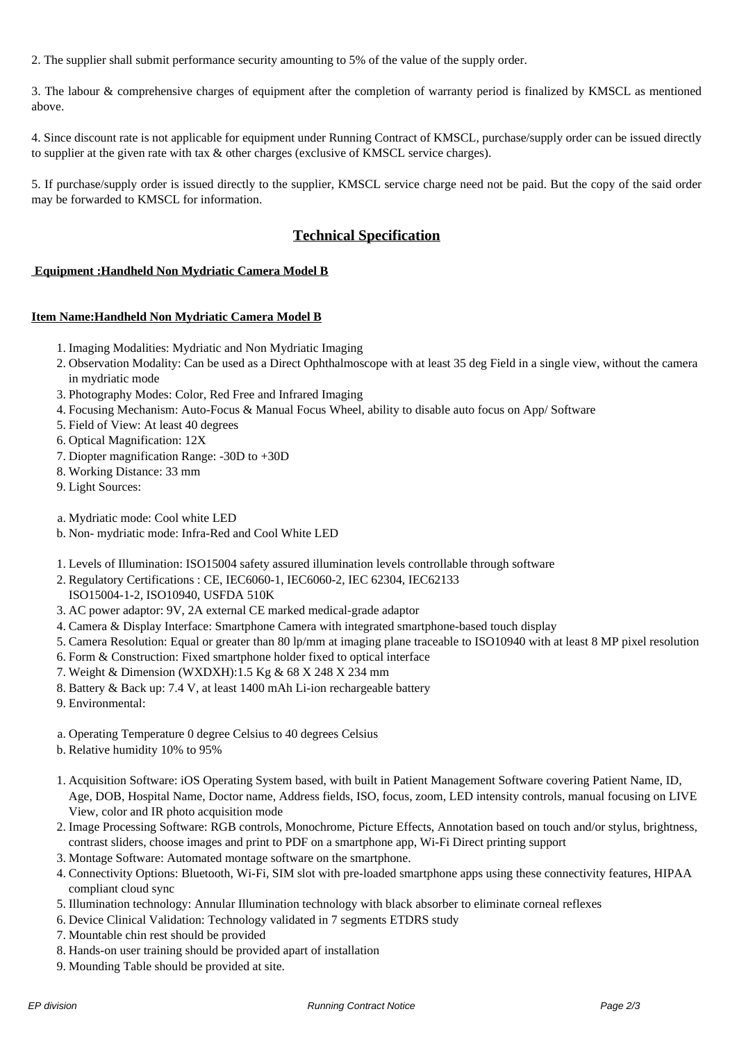2. The supplier shall submit performance security amounting to 5% of the value of the supply order.

3. The labour & comprehensive charges of equipment after the completion of warranty period is finalized by KMSCL as mentioned above.

4. Since discount rate is not applicable for equipment under Running Contract of KMSCL, purchase/supply order can be issued directly to supplier at the given rate with tax & other charges (exclusive of KMSCL service charges).

5. If purchase/supply order is issued directly to the supplier, KMSCL service charge need not be paid. But the copy of the said order may be forwarded to KMSCL for information.

## **Technical Specification**

## **Equipment :Handheld Non Mydriatic Camera Model B**

## **Item Name:Handheld Non Mydriatic Camera Model B**

- 1. Imaging Modalities: Mydriatic and Non Mydriatic Imaging
- 2. Observation Modality: Can be used as a Direct Ophthalmoscope with at least 35 deg Field in a single view, without the camera in mydriatic mode
- 3. Photography Modes: Color, Red Free and Infrared Imaging
- 4. Focusing Mechanism: Auto-Focus & Manual Focus Wheel, ability to disable auto focus on App/ Software
- 5. Field of View: At least 40 degrees
- 6. Optical Magnification: 12X
- 7. Diopter magnification Range: -30D to +30D
- 8. Working Distance: 33 mm
- 9. Light Sources:
- a. Mydriatic mode: Cool white LED
- b. Non- mydriatic mode: Infra-Red and Cool White LED
- 1. Levels of Illumination: ISO15004 safety assured illumination levels controllable through software
- 2. Regulatory Certifications : CE, IEC6060-1, IEC6060-2, IEC 62304, IEC62133

ISO15004-1-2, ISO10940, USFDA 510K

- 3. AC power adaptor: 9V, 2A external CE marked medical-grade adaptor
- 4. Camera & Display Interface: Smartphone Camera with integrated smartphone-based touch display
- 5. Camera Resolution: Equal or greater than 80 lp/mm at imaging plane traceable to ISO10940 with at least 8 MP pixel resolution
- 6. Form & Construction: Fixed smartphone holder fixed to optical interface
- 7. Weight & Dimension (WXDXH):1.5 Kg & 68 X 248 X 234 mm
- 8. Battery & Back up: 7.4 V, at least 1400 mAh Li-ion rechargeable battery
- 9. Environmental:
- a. Operating Temperature 0 degree Celsius to 40 degrees Celsius
- b. Relative humidity 10% to 95%
- 1. Acquisition Software: iOS Operating System based, with built in Patient Management Software covering Patient Name, ID, Age, DOB, Hospital Name, Doctor name, Address fields, ISO, focus, zoom, LED intensity controls, manual focusing on LIVE View, color and IR photo acquisition mode
- 2. Image Processing Software: RGB controls, Monochrome, Picture Effects, Annotation based on touch and/or stylus, brightness, contrast sliders, choose images and print to PDF on a smartphone app, Wi-Fi Direct printing support
- 3. Montage Software: Automated montage software on the smartphone.
- 4. Connectivity Options: Bluetooth, Wi-Fi, SIM slot with pre-loaded smartphone apps using these connectivity features, HIPAA compliant cloud sync
- 5. Illumination technology: Annular Illumination technology with black absorber to eliminate corneal reflexes
- 6. Device Clinical Validation: Technology validated in 7 segments ETDRS study
- 7. Mountable chin rest should be provided
- 8. Hands-on user training should be provided apart of installation
- 9. Mounding Table should be provided at site.